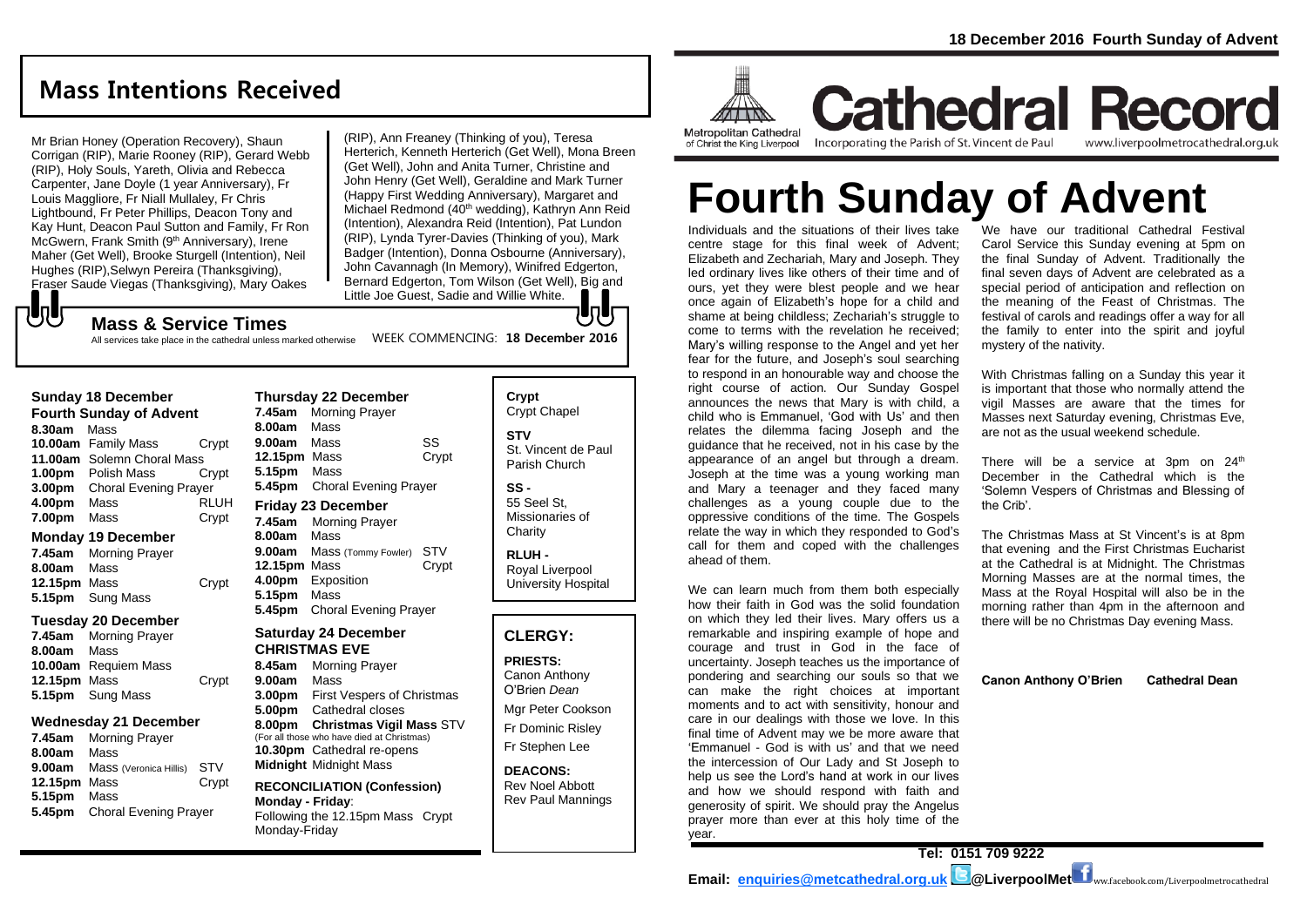## **Mass Intentions Received**

Mr Brian Honey (Operation Recovery), Shaun Corrigan (RIP), Marie Rooney (RIP), Gerard Webb (RIP), Holy Souls, Yareth, Olivia and Rebecca Carpenter, Jane Doyle (1 year Anniversary), Fr Louis Maggliore, Fr Niall Mullaley, Fr Chris Lightbound, Fr Peter Phillips, Deacon Tony and Kay Hunt, Deacon Paul Sutton and Family, Fr Ron McGwern, Frank Smith (9<sup>th</sup> Anniversary), Irene Maher (Get Well), Brooke Sturgell (Intention), Neil Hughes (RIP),Selwyn Pereira (Thanksgiving), Fraser Saude Viegas (Thanksgiving), Mary Oakes

(RIP), Ann Freaney (Thinking of you), Teresa Herterich, Kenneth Herterich (Get Well), Mona Breen (Get Well), John and Anita Turner, Christine and John Henry (Get Well), Geraldine and Mark Turner (Happy First Wedding Anniversary), Margaret and Michael Redmond (40<sup>th</sup> wedding), Kathryn Ann Reid (Intention), Alexandra Reid (Intention), Pat Lundon (RIP), Lynda Tyrer-Davies (Thinking of you), Mark Badger (Intention), Donna Osbourne (Anniversary), John Cavannagh (In Memory), Winifred Edgerton, Bernard Edgerton, Tom Wilson (Get Well), Big and Little Joe Guest, Sadie and Willie White. lŋUr

#### **Mass & Service Times**

WEEK COMMENCING: **18 December 2016** All services take place in the cathedral unless marked otherwise

#### **Sunday 18 December**

もし

**Fourth Sunday of Advent 8.30am** Mass **10.00am** Family Mass Crypt **11.00am** Solemn Choral Mass **1.00pm** Polish Mass Crypt **3.00pm** Choral Evening Prayer **4.00pm** Mass RLUH **7.00pm** Mass Crypt

#### **Monday 19 December**

**7.45am** Morning Prayer **8.00am** Mass **12.15pm** Mass Crypt **5.15pm** Sung Mass

#### **Tuesday 20 December**

|                    | 7.45am Morning Prayer |       |
|--------------------|-----------------------|-------|
| <b>8.00am</b> Mass |                       |       |
|                    | 10.00am Requiem Mass  |       |
| 12.15pm Mass       |                       | Crypt |
|                    | 5.15pm Sung Mass      |       |

#### **Wednesday 21 December**

**7.45am** Morning Prayer **8.00am** Mass **9.00am** Mass (Veronica Hillis) STV **12.15pm** Mass Crypt **5.15pm** Mass **5.45pm** Choral Evening Prayer

| <b>Thursday 22 December</b> |                              |                           |  |  |  |
|-----------------------------|------------------------------|---------------------------|--|--|--|
| 7.45am                      | <b>Morning Prayer</b>        |                           |  |  |  |
| 8.00am                      | Mass                         |                           |  |  |  |
| 9.00am                      | Mass                         | SS                        |  |  |  |
| 12.15pm Mass                |                              | Crypt                     |  |  |  |
| 5.15pm                      | Mass                         |                           |  |  |  |
| 5.45pm                      | <b>Choral Evening Prayer</b> |                           |  |  |  |
|                             |                              | <b>Friday 23 December</b> |  |  |  |
|                             |                              |                           |  |  |  |
| 7.45am                      | <b>Morning Prayer</b>        |                           |  |  |  |
| 8.00am                      | Mass                         |                           |  |  |  |
| 9.00am                      | Mass (Tommy Fowler)          | STV                       |  |  |  |
| 12.15pm                     | Mass                         | Crypt                     |  |  |  |
| 4.00pm                      | Exposition                   |                           |  |  |  |

## **5.45pm** Choral Evening Prayer **Saturday 24 December**

**CHRISTMAS EVE 8.45am** Morning Prayer **9.00am** Mass **3.00pm** First Vespers of Christmas **5.00pm** Cathedral closes **8.00pm Christmas Vigil Mass** STV (For all those who have died at Christmas) **10.30pm** Cathedral re-opens **Midnight** Midnight Mass

#### **RECONCILIATION (Confession) Monday - Friday**: Following the 12.15pm Mass Crypt Monday-Friday

**Crypt**  Crypt Chapel **STV** St. Vincent de Paul Parish Church

**SS -** 55 Seel St,

Missionaries of **Charity RLUH -**

Royal Liverpool University Hospital

#### **CLERGY:**

#### **PRIESTS:**

Canon Anthony O'Brien *Dean*

Mgr Peter Cookson Fr Dominic Risley Fr Stephen Lee

**DEACONS:** Rev Noel Abbott Rev Paul Mannings



**Cathedral Record** Incorporating the Parish of St. Vincent de Paul www.liverpoolmetrocathedral.org.uk

# **Fourth Sunday of Advent**

Individuals and the situations of their lives take centre stage for this final week of Advent; Elizabeth and Zechariah, Mary and Joseph. They led ordinary lives like others of their time and of ours, yet they were blest people and we hear once again of Elizabeth's hope for a child and shame at being childless: Zechariah's struggle to come to terms with the revelation he received; Mary's willing response to the Angel and yet her fear for the future, and Joseph's soul searching to respond in an honourable way and choose the right course of action. Our Sunday Gospel announces the news that Mary is with child, a child who is Emmanuel, 'God with Us' and then relates the dilemma facing Joseph and the guidance that he received, not in his case by the appearance of an angel but through a dream. Joseph at the time was a young working man and Mary a teenager and they faced many challenges as a young couple due to the oppressive conditions of the time. The Gospels relate the way in which they responded to God's call for them and coped with the challenges ahead of them.

We can learn much from them both especially how their faith in God was the solid foundation on which they led their lives. Mary offers us a remarkable and inspiring example of hope and courage and trust in God in the face of uncertainty. Joseph teaches us the importance of pondering and searching our souls so that we can make the right choices at important moments and to act with sensitivity, honour and care in our dealings with those we love. In this final time of Advent may we be more aware that 'Emmanuel - God is with us' and that we need the intercession of Our Lady and St Joseph to help us see the Lord's hand at work in our lives and how we should respond with faith and generosity of spirit. We should pray the Angelus prayer more than ever at this holy time of the year.

We have our traditional Cathedral Festival Carol Service this Sunday evening at 5pm on the final Sunday of Advent. Traditionally the final seven days of Advent are celebrated as a special period of anticipation and reflection on the meaning of the Feast of Christmas. The festival of carols and readings offer a way for all the family to enter into the spirit and joyful mystery of the nativity.

With Christmas falling on a Sunday this year it is important that those who normally attend the vigil Masses are aware that the times for Masses next Saturday evening, Christmas Eve, are not as the usual weekend schedule.

There will be a service at 3pm on  $24<sup>th</sup>$ December in the Cathedral which is the 'Solemn Vespers of Christmas and Blessing of the Crib'.

The Christmas Mass at St Vincent's is at 8pm that evening and the First Christmas Eucharist at the Cathedral is at Midnight. The Christmas Morning Masses are at the normal times, the Mass at the Royal Hospital will also be in the morning rather than 4pm in the afternoon and there will be no Christmas Day evening Mass.

**Canon Anthony O'Brien Cathedral Dean**